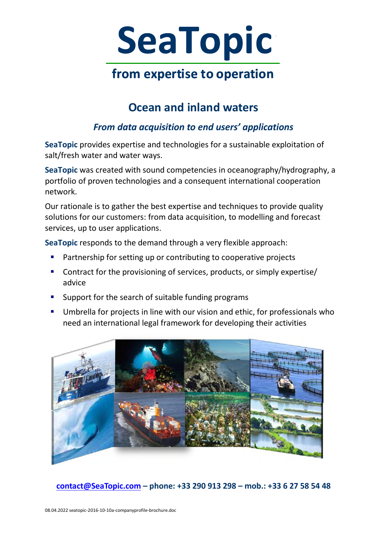

## **Ocean and inland waters**

### *From data acquisition to end users' applications*

**SeaTopic** provides expertise and technologies for a sustainable exploitation of salt/fresh water and water ways.

**SeaTopic** was created with sound competencies in oceanography/hydrography, a portfolio of proven technologies and a consequent international cooperation network.

Our rationale is to gather the best expertise and techniques to provide quality solutions for our customers: from data acquisition, to modelling and forecast services, up to user applications.

**SeaTopic** responds to the demand through a very flexible approach:

- **Partnership for setting up or contributing to cooperative projects**
- Contract for the provisioning of services, products, or simply expertise/ advice
- **Support for the search of suitable funding programs**
- Umbrella for projects in line with our vision and ethic, for professionals who need an international legal framework for developing their activities

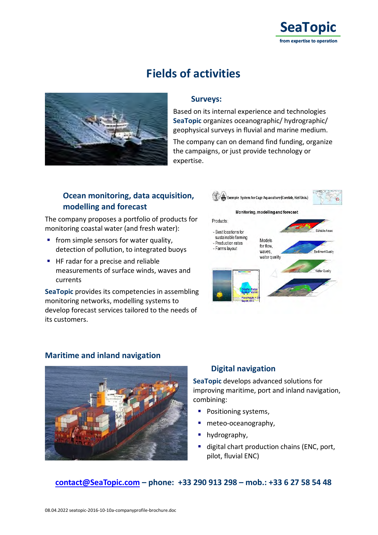

## **Fields of activities**



#### **Surveys:**

Based on its internal experience and technologies **SeaTopic** organizes oceanographic/ hydrographic/ geophysical surveys in fluvial and marine medium.

The company can on demand find funding, organize the campaigns, or just provide technology or expertise.

#### **Ocean monitoring, data acquisition, modelling and forecast**

The company proposes a portfolio of products for monitoring coastal water (and fresh water):

- **from simple sensors for water quality.** detection of pollution, to integrated buoys
- HF radar for a precise and reliable measurements of surface winds, waves and currents

**SeaTopic** provides its competencies in assembling monitoring networks, modelling systems to develop forecast services tailored to the needs of its customers.



#### **Maritime and inland navigation**



#### **Digital navigation**

**SeaTopic** develops advanced solutions for improving maritime, port and inland navigation, combining:

- **Positioning systems,**
- meteo-oceanography,
- hydrography.
- digital chart production chains (ENC, port, pilot, fluvial ENC)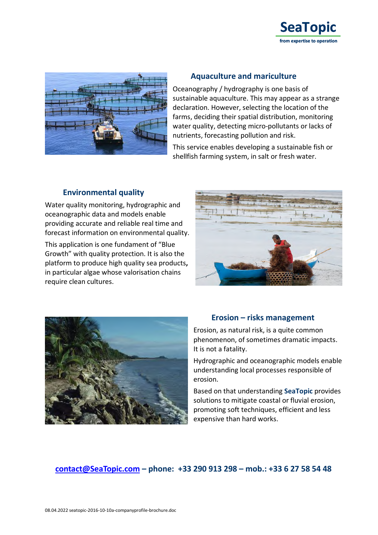



#### **Aquaculture and mariculture**

Oceanography / hydrography is one basis of sustainable aquaculture. This may appear as a strange declaration. However, selecting the location of the farms, deciding their spatial distribution, monitoring water quality, detecting micro-pollutants or lacks of nutrients, forecasting pollution and risk.

This service enables developing a sustainable fish or shellfish farming system, in salt or fresh water.

#### **Environmental quality**

Water quality monitoring, hydrographic and oceanographic data and models enable providing accurate and reliable real time and forecast information on environmental quality.

This application is one fundament of "Blue Growth" with quality protection. It is also the platform to produce high quality sea products**,** in particular algae whose valorisation chains require clean cultures.





#### **Erosion – risks management**

Erosion, as natural risk, is a quite common phenomenon, of sometimes dramatic impacts. It is not a fatality.

Hydrographic and oceanographic models enable understanding local processes responsible of erosion.

Based on that understanding **SeaTopic** provides solutions to mitigate coastal or fluvial erosion, promoting soft techniques, efficient and less expensive than hard works.